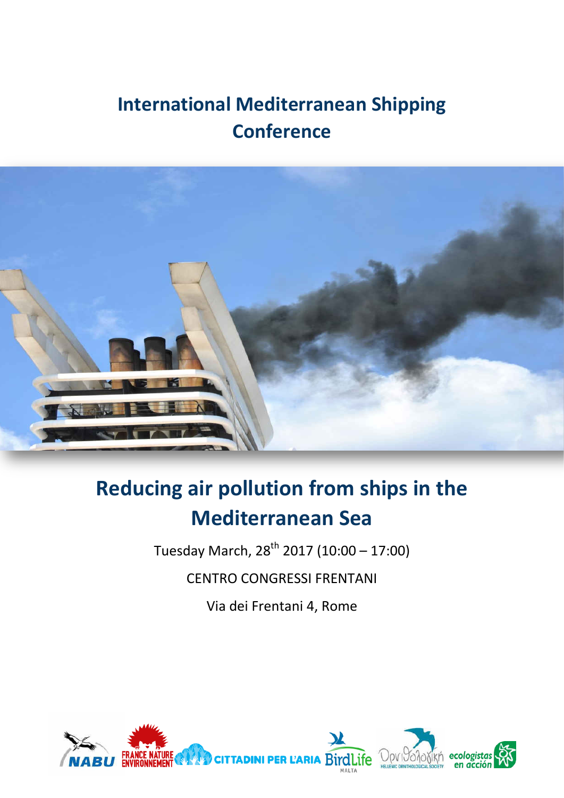## **International Mediterranean Shipping Conference**



# **Reducing air pollution from ships in the Mediterranean Sea**

Tuesday March,  $28^{th}$  2017 (10:00 – 17:00) CENTRO CONGRESSI FRENTANI

Via dei Frentani 4, Rome

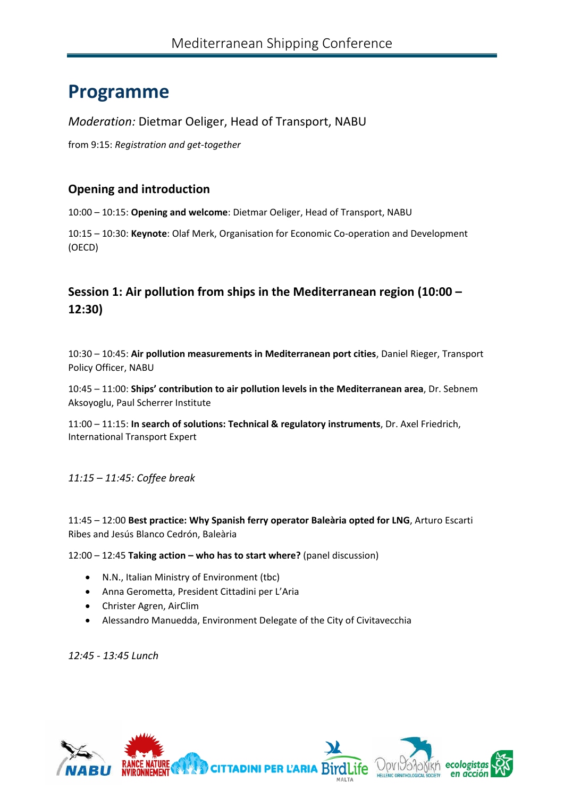## **Programme**

### *Moderation:* Dietmar Oeliger, Head of Transport, NABU

from 9:15: *Registration and get-together* 

### **Opening and introduction**

10:00 – 10:15: **Opening and welcome**: Dietmar Oeliger, Head of Transport, NABU

10:15 – 10:30: **Keynote**: Olaf Merk, Organisation for Economic Co-operation and Development (OECD)

## **Session 1: Air pollution from ships in the Mediterranean region (10:00 – 12:30)**

10:30 – 10:45: **Air pollution measurements in Mediterranean port cities**, Daniel Rieger, Transport Policy Officer, NABU

10:45 – 11:00: **Ships' contribution to air pollution levels in the Mediterranean area**, Dr. Sebnem Aksoyoglu, Paul Scherrer Institute

11:00 – 11:15: **In search of solutions: Technical & regulatory instruments**, Dr. Axel Friedrich, International Transport Expert

*11:15 – 11:45: Coffee break* 

11:45 – 12:00 **Best practice: Why Spanish ferry operator Baleària opted for LNG**, Arturo Escarti Ribes and Jesús Blanco Cedrón, Baleària

12:00 – 12:45 **Taking action – who has to start where?** (panel discussion)

- N.N., Italian Ministry of Environment (tbc)
- Anna Gerometta, President Cittadini per L'Aria
- Christer Agren, AirClim
- Alessandro Manuedda, Environment Delegate of the City of Civitavecchia

*12:45 - 13:45 Lunch*